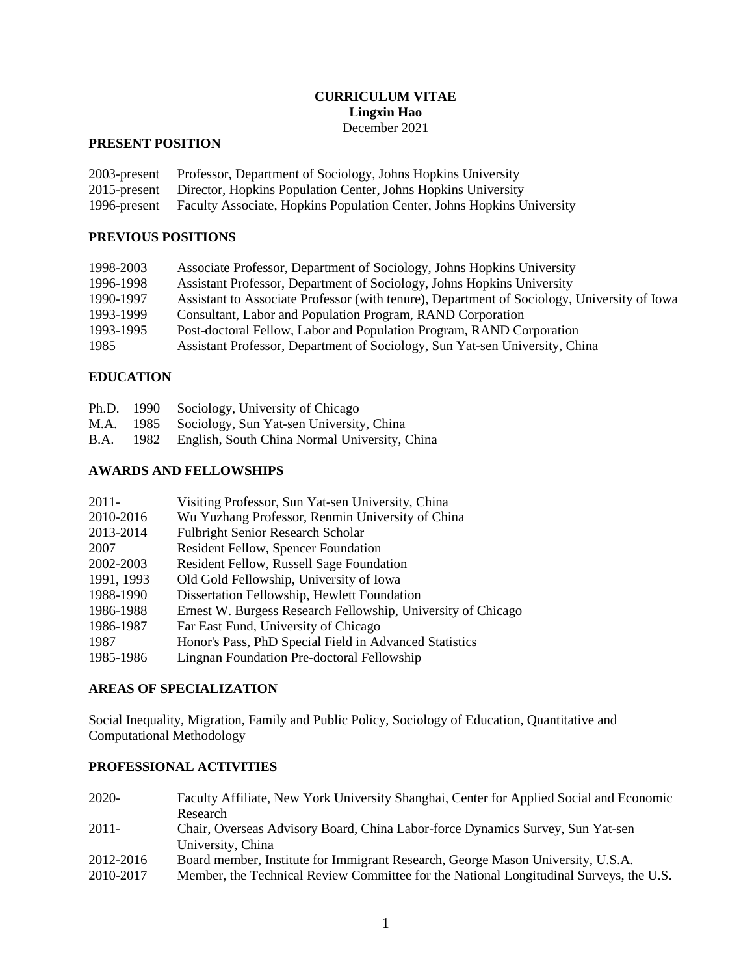### **CURRICULUM VITAE Lingxin Hao** December 2021

# **PRESENT POSITION**

| 2003-present Professor, Department of Sociology, Johns Hopkins University           |
|-------------------------------------------------------------------------------------|
| 2015-present Director, Hopkins Population Center, Johns Hopkins University          |
| 1996-present Faculty Associate, Hopkins Population Center, Johns Hopkins University |

## **PREVIOUS POSITIONS**

| 1998-2003 | Associate Professor, Department of Sociology, Johns Hopkins University                      |
|-----------|---------------------------------------------------------------------------------------------|
| 1996-1998 | Assistant Professor, Department of Sociology, Johns Hopkins University                      |
| 1990-1997 | Assistant to Associate Professor (with tenure), Department of Sociology, University of Iowa |
| 1993-1999 | Consultant, Labor and Population Program, RAND Corporation                                  |
| 1993-1995 | Post-doctoral Fellow, Labor and Population Program, RAND Corporation                        |
| 1985      | Assistant Professor, Department of Sociology, Sun Yat-sen University, China                 |

## **EDUCATION**

|  | Ph.D. 1990 Sociology, University of Chicago             |
|--|---------------------------------------------------------|
|  | M.A. 1985 Sociology, Sun Yat-sen University, China      |
|  | B.A. 1982 English, South China Normal University, China |

# **AWARDS AND FELLOWSHIPS**

| $2011 -$   | Visiting Professor, Sun Yat-sen University, China            |
|------------|--------------------------------------------------------------|
| 2010-2016  | Wu Yuzhang Professor, Renmin University of China             |
| 2013-2014  | <b>Fulbright Senior Research Scholar</b>                     |
| 2007       | <b>Resident Fellow, Spencer Foundation</b>                   |
| 2002-2003  | Resident Fellow, Russell Sage Foundation                     |
| 1991, 1993 | Old Gold Fellowship, University of Iowa                      |
| 1988-1990  | Dissertation Fellowship, Hewlett Foundation                  |
| 1986-1988  | Ernest W. Burgess Research Fellowship, University of Chicago |
| 1986-1987  | Far East Fund, University of Chicago                         |
| 1987       | Honor's Pass, PhD Special Field in Advanced Statistics       |
| 1985-1986  | Lingnan Foundation Pre-doctoral Fellowship                   |

# **AREAS OF SPECIALIZATION**

Social Inequality, Migration, Family and Public Policy, Sociology of Education, Quantitative and Computational Methodology

# **PROFESSIONAL ACTIVITIES**

| 2020-     | Faculty Affiliate, New York University Shanghai, Center for Applied Social and Economic |
|-----------|-----------------------------------------------------------------------------------------|
|           | Research                                                                                |
| $2011 -$  | Chair, Overseas Advisory Board, China Labor-force Dynamics Survey, Sun Yat-sen          |
|           | University, China                                                                       |
| 2012-2016 | Board member, Institute for Immigrant Research, George Mason University, U.S.A.         |
| 2010-2017 | Member, the Technical Review Committee for the National Longitudinal Surveys, the U.S.  |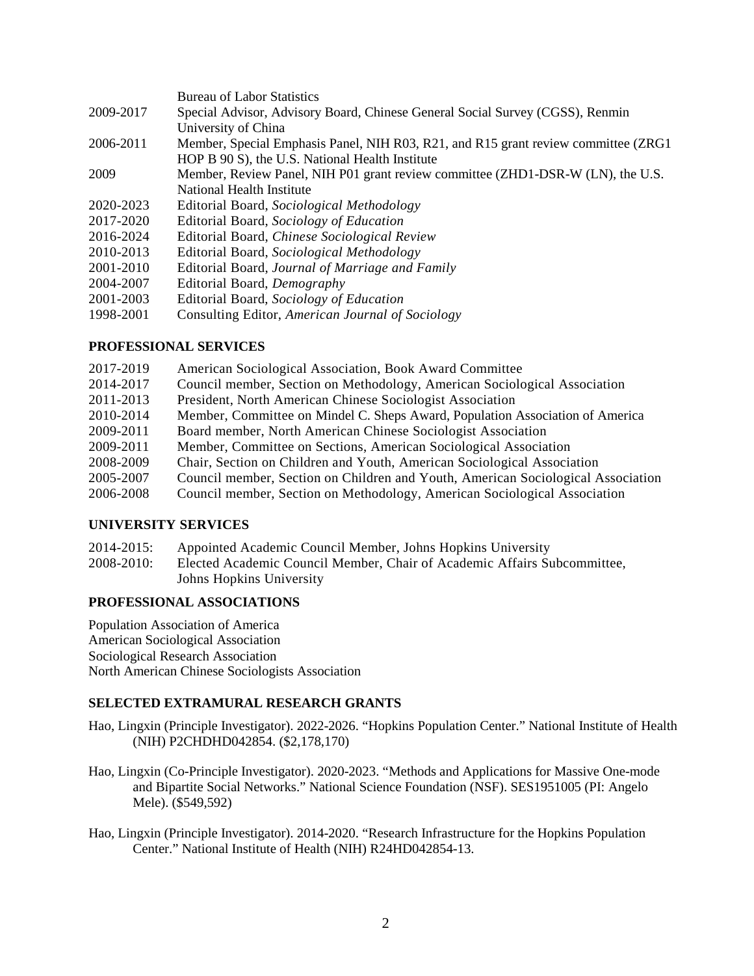|           | <b>Bureau of Labor Statistics</b>                                                   |
|-----------|-------------------------------------------------------------------------------------|
| 2009-2017 | Special Advisor, Advisory Board, Chinese General Social Survey (CGSS), Renmin       |
|           | University of China                                                                 |
| 2006-2011 | Member, Special Emphasis Panel, NIH R03, R21, and R15 grant review committee (ZRG1) |
|           | HOP B 90 S), the U.S. National Health Institute                                     |
| 2009      | Member, Review Panel, NIH P01 grant review committee (ZHD1-DSR-W (LN), the U.S.     |
|           | National Health Institute                                                           |
| 2020-2023 | Editorial Board, Sociological Methodology                                           |
| 2017-2020 | Editorial Board, Sociology of Education                                             |
| 2016-2024 | Editorial Board, Chinese Sociological Review                                        |
| 2010-2013 | Editorial Board, Sociological Methodology                                           |
| 2001-2010 | Editorial Board, Journal of Marriage and Family                                     |
| 2004-2007 | Editorial Board, Demography                                                         |
| 2001-2003 | Editorial Board, Sociology of Education                                             |
| 1998-2001 | Consulting Editor, American Journal of Sociology                                    |
|           |                                                                                     |

## **PROFESSIONAL SERVICES**

| 2017-2019 | American Sociological Association, Book Award Committee                          |
|-----------|----------------------------------------------------------------------------------|
| 2014-2017 | Council member, Section on Methodology, American Sociological Association        |
| 2011-2013 | President, North American Chinese Sociologist Association                        |
| 2010-2014 | Member, Committee on Mindel C. Sheps Award, Population Association of America    |
| 2009-2011 | Board member, North American Chinese Sociologist Association                     |
| 2009-2011 | Member, Committee on Sections, American Sociological Association                 |
| 2008-2009 | Chair, Section on Children and Youth, American Sociological Association          |
| 2005-2007 | Council member, Section on Children and Youth, American Sociological Association |
| 2006-2008 | Council member, Section on Methodology, American Sociological Association        |
|           |                                                                                  |

## **UNIVERSITY SERVICES**

| 2014-2015: | Appointed Academic Council Member, Johns Hopkins University              |
|------------|--------------------------------------------------------------------------|
| 2008-2010: | Elected Academic Council Member, Chair of Academic Affairs Subcommittee. |
|            | Johns Hopkins University                                                 |

## **PROFESSIONAL ASSOCIATIONS**

Population Association of America American Sociological Association Sociological Research Association North American Chinese Sociologists Association

# **SELECTED EXTRAMURAL RESEARCH GRANTS**

- Hao, Lingxin (Principle Investigator). 2022-2026. "Hopkins Population Center." National Institute of Health (NIH) P2CHDHD042854. (\$2,178,170)
- Hao, Lingxin (Co-Principle Investigator). 2020-2023. "Methods and Applications for Massive One-mode and Bipartite Social Networks." National Science Foundation (NSF). SES1951005 (PI: Angelo Mele). (\$549,592)
- Hao, Lingxin (Principle Investigator). 2014-2020. "Research Infrastructure for the Hopkins Population Center." National Institute of Health (NIH) R24HD042854-13.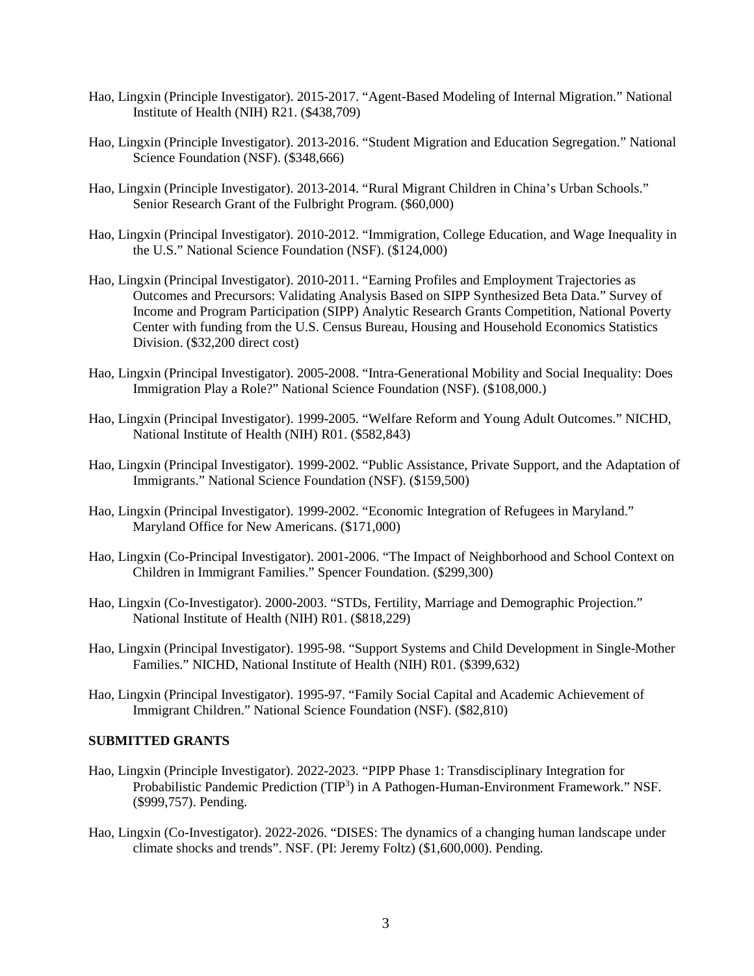- Hao, Lingxin (Principle Investigator). 2015-2017. "Agent-Based Modeling of Internal Migration." National Institute of Health (NIH) R21. (\$438,709)
- Hao, Lingxin (Principle Investigator). 2013-2016. "Student Migration and Education Segregation." National Science Foundation (NSF). (\$348,666)
- Hao, Lingxin (Principle Investigator). 2013-2014. "Rural Migrant Children in China's Urban Schools." Senior Research Grant of the Fulbright Program. (\$60,000)
- Hao, Lingxin (Principal Investigator). 2010-2012. "Immigration, College Education, and Wage Inequality in the U.S." National Science Foundation (NSF). (\$124,000)
- Hao, Lingxin (Principal Investigator). 2010-2011. "Earning Profiles and Employment Trajectories as Outcomes and Precursors: Validating Analysis Based on SIPP Synthesized Beta Data." Survey of Income and Program Participation (SIPP) Analytic Research Grants Competition, National Poverty Center with funding from the U.S. Census Bureau, Housing and Household Economics Statistics Division. (\$32,200 direct cost)
- Hao, Lingxin (Principal Investigator). 2005-2008. "Intra-Generational Mobility and Social Inequality: Does Immigration Play a Role?" National Science Foundation (NSF). (\$108,000.)
- Hao, Lingxin (Principal Investigator). 1999-2005. "Welfare Reform and Young Adult Outcomes." NICHD, National Institute of Health (NIH) R01. (\$582,843)
- Hao, Lingxin (Principal Investigator). 1999-2002. "Public Assistance, Private Support, and the Adaptation of Immigrants." National Science Foundation (NSF). (\$159,500)
- Hao, Lingxin (Principal Investigator). 1999-2002. "Economic Integration of Refugees in Maryland." Maryland Office for New Americans. (\$171,000)
- Hao, Lingxin (Co-Principal Investigator). 2001-2006. "The Impact of Neighborhood and School Context on Children in Immigrant Families." Spencer Foundation. (\$299,300)
- Hao, Lingxin (Co-Investigator). 2000-2003. "STDs, Fertility, Marriage and Demographic Projection." National Institute of Health (NIH) R01. (\$818,229)
- Hao, Lingxin (Principal Investigator). 1995-98. "Support Systems and Child Development in Single-Mother Families." NICHD, National Institute of Health (NIH) R01. (\$399,632)
- Hao, Lingxin (Principal Investigator). 1995-97. "Family Social Capital and Academic Achievement of Immigrant Children." National Science Foundation (NSF). (\$82,810)

## **SUBMITTED GRANTS**

- Hao, Lingxin (Principle Investigator). 2022-2023. "PIPP Phase 1: Transdisciplinary Integration for Probabilistic Pandemic Prediction (TIP<sup>3</sup>) in A Pathogen-Human-Environment Framework." NSF. (\$999,757). Pending.
- Hao, Lingxin (Co-Investigator). 2022-2026. "DISES: The dynamics of a changing human landscape under climate shocks and trends". NSF. (PI: Jeremy Foltz) (\$1,600,000). Pending.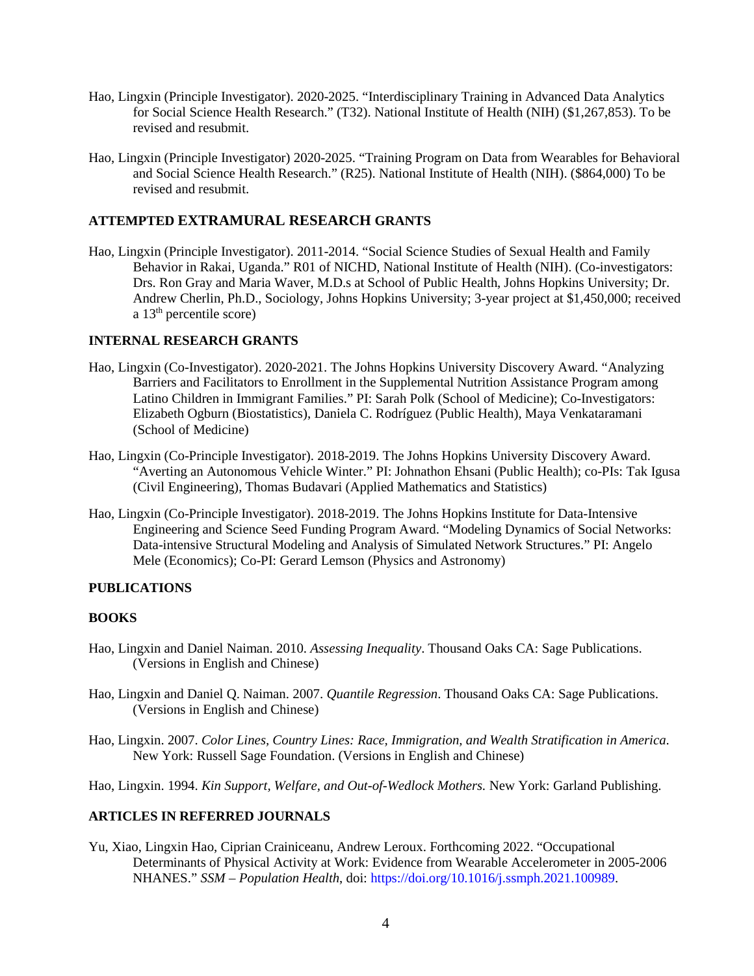- Hao, Lingxin (Principle Investigator). 2020-2025. "Interdisciplinary Training in Advanced Data Analytics for Social Science Health Research." (T32). National Institute of Health (NIH) (\$1,267,853). To be revised and resubmit.
- Hao, Lingxin (Principle Investigator) 2020-2025. "Training Program on Data from Wearables for Behavioral and Social Science Health Research." (R25). National Institute of Health (NIH). (\$864,000) To be revised and resubmit.

## **ATTEMPTED EXTRAMURAL RESEARCH GRANTS**

Hao, Lingxin (Principle Investigator). 2011-2014. "Social Science Studies of Sexual Health and Family Behavior in Rakai, Uganda." R01 of NICHD, National Institute of Health (NIH). (Co-investigators: Drs. Ron Gray and Maria Waver, M.D.s at School of Public Health, Johns Hopkins University; Dr. Andrew Cherlin, Ph.D., Sociology, Johns Hopkins University; 3-year project at \$1,450,000; received a  $13<sup>th</sup>$  percentile score)

## **INTERNAL RESEARCH GRANTS**

- Hao, Lingxin (Co-Investigator). 2020-2021. The Johns Hopkins University Discovery Award. "Analyzing Barriers and Facilitators to Enrollment in the Supplemental Nutrition Assistance Program among Latino Children in Immigrant Families." PI: Sarah Polk (School of Medicine); Co-Investigators: Elizabeth Ogburn (Biostatistics), Daniela C. Rodríguez (Public Health), Maya Venkataramani (School of Medicine)
- Hao, Lingxin (Co-Principle Investigator). 2018-2019. The Johns Hopkins University Discovery Award. "Averting an Autonomous Vehicle Winter." PI: Johnathon Ehsani (Public Health); co-PIs: Tak Igusa (Civil Engineering), Thomas Budavari (Applied Mathematics and Statistics)
- Hao, Lingxin (Co-Principle Investigator). 2018-2019. The Johns Hopkins Institute for Data-Intensive Engineering and Science Seed Funding Program Award. "Modeling Dynamics of Social Networks: Data-intensive Structural Modeling and Analysis of Simulated Network Structures." PI: Angelo Mele (Economics); Co-PI: Gerard Lemson (Physics and Astronomy)

#### **PUBLICATIONS**

#### **BOOKS**

- Hao, Lingxin and Daniel Naiman. 2010. *Assessing Inequality*. Thousand Oaks CA: Sage Publications. (Versions in English and Chinese)
- Hao, Lingxin and Daniel Q. Naiman. 2007. *Quantile Regression*. Thousand Oaks CA: Sage Publications. (Versions in English and Chinese)
- Hao, Lingxin. 2007. *Color Lines, Country Lines: Race, Immigration, and Wealth Stratification in America*. New York: Russell Sage Foundation. (Versions in English and Chinese)
- Hao, Lingxin. 1994. *Kin Support, Welfare, and Out-of-Wedlock Mothers.* New York: Garland Publishing.

## **ARTICLES IN REFERRED JOURNALS**

Yu, Xiao, Lingxin Hao, Ciprian Crainiceanu, Andrew Leroux. Forthcoming 2022. "Occupational Determinants of Physical Activity at Work: Evidence from Wearable Accelerometer in 2005-2006 NHANES." *SSM – Population Health*, doi: https://doi.org/10.1016/j.ssmph.2021.100989.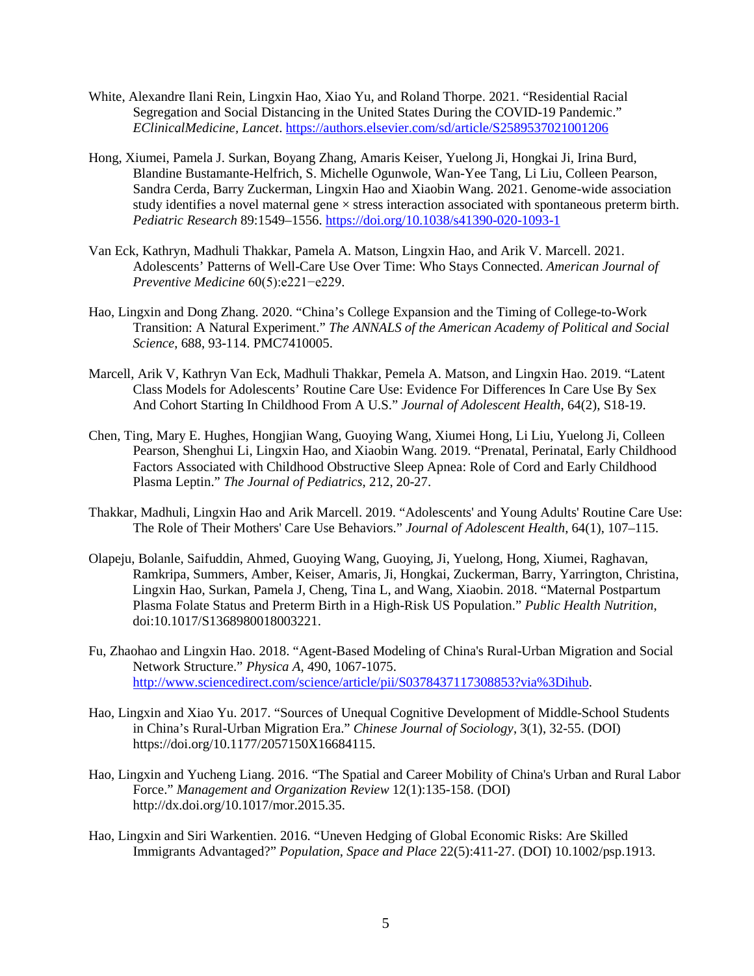- White, Alexandre Ilani Rein, Lingxin Hao, Xiao Yu, and Roland Thorpe. 2021. "Residential Racial Segregation and Social Distancing in the United States During the COVID-19 Pandemic." *EClinicalMedicine, Lancet*. <https://authors.elsevier.com/sd/article/S2589537021001206>
- Hong, Xiumei, Pamela J. Surkan, Boyang Zhang, Amaris Keiser, Yuelong Ji, Hongkai Ji, Irina Burd, Blandine Bustamante-Helfrich, S. Michelle Ogunwole, Wan-Yee Tang, Li Liu, Colleen Pearson, Sandra Cerda, Barry Zuckerman, Lingxin Hao and Xiaobin Wang. 2021. Genome-wide association study identifies a novel maternal gene  $\times$  stress interaction associated with spontaneous preterm birth. *Pediatric Research* 89:1549–1556. <https://doi.org/10.1038/s41390-020-1093-1>
- Van Eck, Kathryn, Madhuli Thakkar, Pamela A. Matson, Lingxin Hao, and Arik V. Marcell. 2021. Adolescents' Patterns of Well-Care Use Over Time: Who Stays Connected. *American Journal of Preventive Medicine* 60(5):e221−e229.
- Hao, Lingxin and Dong Zhang. 2020. "China's College Expansion and the Timing of College-to-Work Transition: A Natural Experiment." *The ANNALS of the American Academy of Political and Social Science*, 688, 93-114. PMC7410005.
- Marcell, Arik V, Kathryn Van Eck, Madhuli Thakkar, Pemela A. Matson, and Lingxin Hao. 2019. "Latent Class Models for Adolescents' Routine Care Use: Evidence For Differences In Care Use By Sex And Cohort Starting In Childhood From A U.S." *Journal of Adolescent Health*, 64(2), S18-19.
- Chen, Ting, Mary E. Hughes, Hongjian Wang, Guoying Wang, Xiumei Hong, Li Liu, Yuelong Ji, Colleen Pearson, Shenghui Li, Lingxin Hao, and Xiaobin Wang. 2019. "Prenatal, Perinatal, Early Childhood Factors Associated with Childhood Obstructive Sleep Apnea: Role of Cord and Early Childhood Plasma Leptin." *The Journal of Pediatrics*, 212, 20-27.
- Thakkar, Madhuli, Lingxin Hao and Arik Marcell. 2019. "Adolescents' and Young Adults' Routine Care Use: The Role of Their Mothers' Care Use Behaviors." *Journal of Adolescent Health*, 64(1), 107–115.
- Olapeju, Bolanle, Saifuddin, Ahmed, Guoying Wang, Guoying, Ji, Yuelong, Hong, Xiumei, Raghavan, Ramkripa, Summers, Amber, Keiser, Amaris, Ji, Hongkai, Zuckerman, Barry, Yarrington, Christina, Lingxin Hao, Surkan, Pamela J, Cheng, Tina L, and Wang, Xiaobin. 2018. "Maternal Postpartum Plasma Folate Status and Preterm Birth in a High-Risk US Population." *Public Health Nutrition*, doi:10.1017/S1368980018003221.
- Fu, Zhaohao and Lingxin Hao. 2018. "Agent-Based Modeling of China's Rural-Urban Migration and Social Network Structure." *Physica A*, 490, 1067-1075. [http://www.sciencedirect.com/science/article/pii/S0378437117308853?via%3Dihub.](http://www.sciencedirect.com/science/article/pii/S0378437117308853?via%3Dihub)
- Hao, Lingxin and Xiao Yu. 2017. "Sources of Unequal Cognitive Development of Middle-School Students in China's Rural-Urban Migration Era." *Chinese Journal of Sociology*, 3(1), 32-55. (DOI) https://doi.org/10.1177/2057150X16684115.
- Hao, Lingxin and Yucheng Liang. 2016. "The Spatial and Career Mobility of China's Urban and Rural Labor Force." *Management and Organization Review* 12(1):135-158. (DOI) http://dx.doi.org/10.1017/mor.2015.35.
- Hao, Lingxin and Siri Warkentien. 2016. "Uneven Hedging of Global Economic Risks: Are Skilled Immigrants Advantaged?" *Population, Space and Place* 22(5):411-27. (DOI) 10.1002/psp.1913.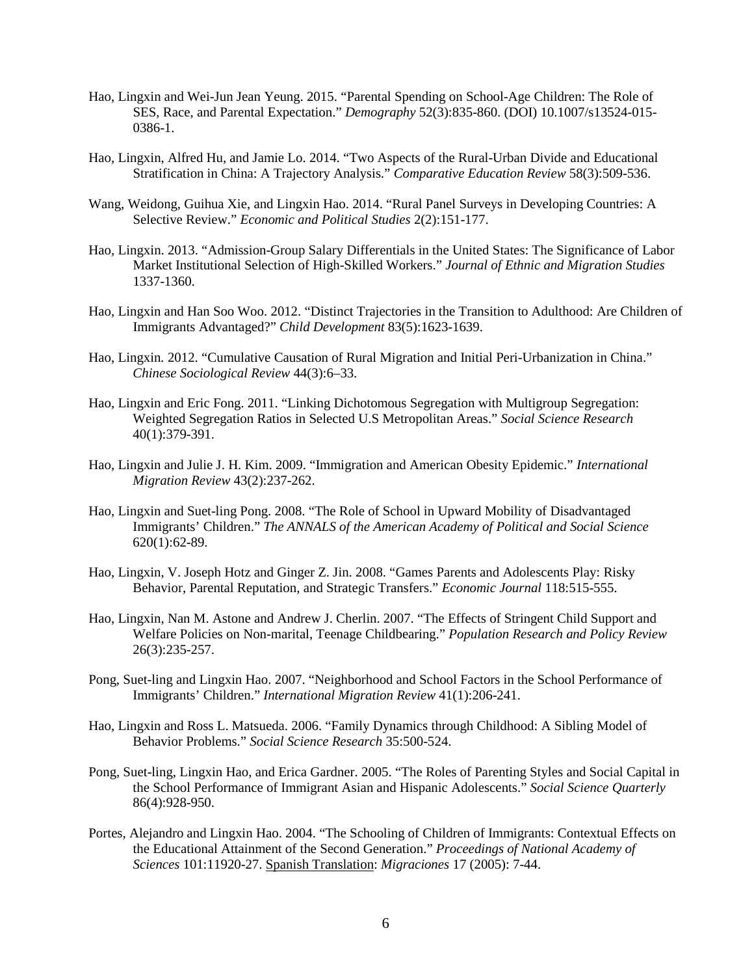- Hao, Lingxin and Wei-Jun Jean Yeung. 2015. "Parental Spending on School-Age Children: The Role of SES, Race, and Parental Expectation." *Demography* 52(3):835-860. (DOI) 10.1007/s13524-015- 0386-1.
- Hao, Lingxin, Alfred Hu, and Jamie Lo. 2014. "Two Aspects of the Rural-Urban Divide and Educational Stratification in China: A Trajectory Analysis." *Comparative Education Review* 58(3):509-536.
- Wang, Weidong, Guihua Xie, and Lingxin Hao. 2014. "Rural Panel Surveys in Developing Countries: A Selective Review." *Economic and Political Studies* 2(2):151-177.
- Hao, Lingxin. 2013. "Admission-Group Salary Differentials in the United States: The Significance of Labor Market Institutional Selection of High-Skilled Workers." *Journal of Ethnic and Migration Studies* 1337-1360.
- Hao, Lingxin and Han Soo Woo. 2012. "Distinct Trajectories in the Transition to Adulthood: Are Children of Immigrants Advantaged?" *Child Development* 83(5):1623-1639.
- Hao, Lingxin*.* 2012. "Cumulative Causation of Rural Migration and Initial Peri-Urbanization in China." *Chinese Sociological Review* 44(3):6–33.
- Hao, Lingxin and Eric Fong. 2011. "Linking Dichotomous Segregation with Multigroup Segregation: Weighted Segregation Ratios in Selected U.S Metropolitan Areas." *Social Science Research* 40(1):379-391.
- Hao, Lingxin and Julie J. H. Kim. 2009. "Immigration and American Obesity Epidemic." *International Migration Review* 43(2):237-262.
- Hao, Lingxin and Suet-ling Pong. 2008. "The Role of School in Upward Mobility of Disadvantaged Immigrants' Children." *The ANNALS of the American Academy of Political and Social Science* 620(1):62-89.
- Hao, Lingxin, V. Joseph Hotz and Ginger Z. Jin. 2008. "Games Parents and Adolescents Play: Risky Behavior, Parental Reputation, and Strategic Transfers." *Economic Journal* 118:515-555.
- Hao, Lingxin, Nan M. Astone and Andrew J. Cherlin. 2007. "The Effects of Stringent Child Support and Welfare Policies on Non-marital, Teenage Childbearing." *Population Research and Policy Review* 26(3):235-257.
- Pong, Suet-ling and Lingxin Hao. 2007. "Neighborhood and School Factors in the School Performance of Immigrants' Children." *International Migration Review* 41(1):206-241.
- Hao, Lingxin and Ross L. Matsueda. 2006. "Family Dynamics through Childhood: A Sibling Model of Behavior Problems." *Social Science Research* 35:500-524.
- Pong, Suet-ling, Lingxin Hao, and Erica Gardner. 2005. "The Roles of Parenting Styles and Social Capital in the School Performance of Immigrant Asian and Hispanic Adolescents." *Social Science Quarterly* 86(4):928-950.
- Portes, Alejandro and Lingxin Hao. 2004. "The Schooling of Children of Immigrants: Contextual Effects on the Educational Attainment of the Second Generation." *Proceedings of National Academy of Sciences* 101:11920-27. Spanish Translation: *Migraciones* 17 (2005): 7-44.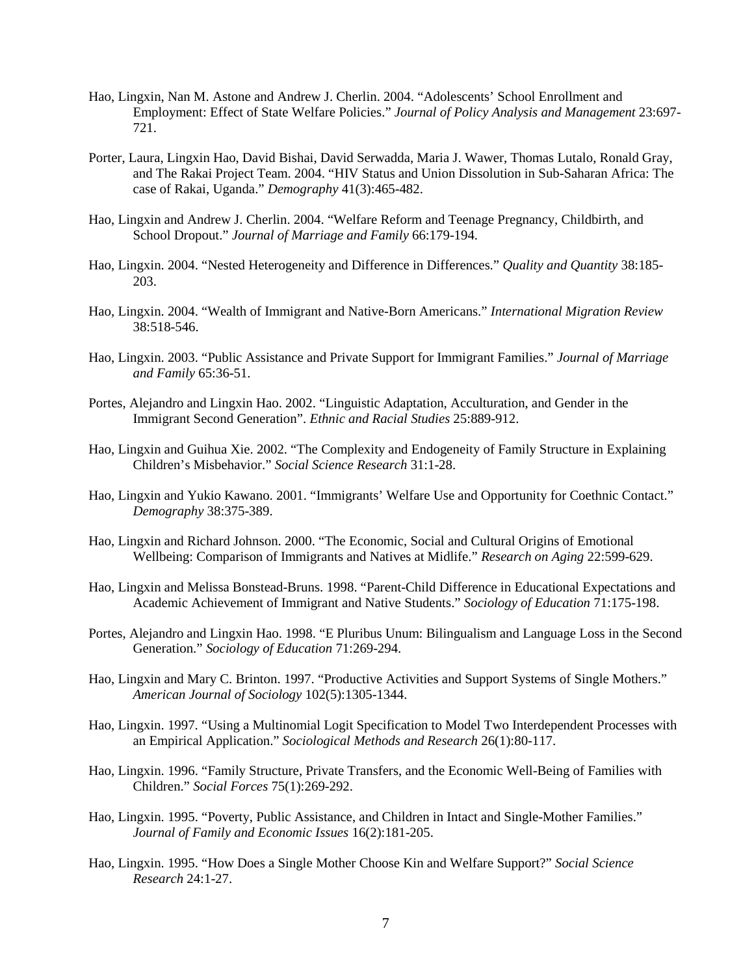- Hao, Lingxin, Nan M. Astone and Andrew J. Cherlin. 2004. "Adolescents' School Enrollment and Employment: Effect of State Welfare Policies." *Journal of Policy Analysis and Management* 23:697- 721.
- Porter, Laura, Lingxin Hao, David Bishai, David Serwadda, Maria J. Wawer, Thomas Lutalo, Ronald Gray, and The Rakai Project Team. 2004. "HIV Status and Union Dissolution in Sub-Saharan Africa: The case of Rakai, Uganda." *Demography* 41(3):465-482.
- Hao, Lingxin and Andrew J. Cherlin. 2004. "Welfare Reform and Teenage Pregnancy, Childbirth, and School Dropout." *Journal of Marriage and Family* 66:179-194.
- Hao, Lingxin. 2004. "Nested Heterogeneity and Difference in Differences." *Quality and Quantity* 38:185- 203.
- Hao, Lingxin. 2004. "Wealth of Immigrant and Native-Born Americans." *International Migration Review* 38:518-546.
- Hao, Lingxin. 2003. "Public Assistance and Private Support for Immigrant Families." *Journal of Marriage and Family* 65:36-51.
- Portes, Alejandro and Lingxin Hao. 2002. "Linguistic Adaptation, Acculturation, and Gender in the Immigrant Second Generation". *Ethnic and Racial Studies* 25:889-912.
- Hao, Lingxin and Guihua Xie. 2002. "The Complexity and Endogeneity of Family Structure in Explaining Children's Misbehavior." *Social Science Research* 31:1-28.
- Hao, Lingxin and Yukio Kawano. 2001. "Immigrants' Welfare Use and Opportunity for Coethnic Contact." *Demography* 38:375-389.
- Hao, Lingxin and Richard Johnson. 2000. "The Economic, Social and Cultural Origins of Emotional Wellbeing: Comparison of Immigrants and Natives at Midlife." *Research on Aging* 22:599-629.
- Hao, Lingxin and Melissa Bonstead-Bruns. 1998. "Parent-Child Difference in Educational Expectations and Academic Achievement of Immigrant and Native Students." *Sociology of Education* 71:175-198.
- Portes, Alejandro and Lingxin Hao. 1998. "E Pluribus Unum: Bilingualism and Language Loss in the Second Generation." *Sociology of Education* 71:269-294.
- Hao, Lingxin and Mary C. Brinton. 1997. "Productive Activities and Support Systems of Single Mothers." *American Journal of Sociology* 102(5):1305-1344.
- Hao, Lingxin. 1997. "Using a Multinomial Logit Specification to Model Two Interdependent Processes with an Empirical Application." *Sociological Methods and Research* 26(1):80-117.
- Hao, Lingxin. 1996. "Family Structure, Private Transfers, and the Economic Well-Being of Families with Children." *Social Forces* 75(1):269-292.
- Hao, Lingxin. 1995. "Poverty, Public Assistance, and Children in Intact and Single-Mother Families." *Journal of Family and Economic Issues* 16(2):181-205.
- Hao, Lingxin. 1995. "How Does a Single Mother Choose Kin and Welfare Support?" *Social Science Research* 24:1-27.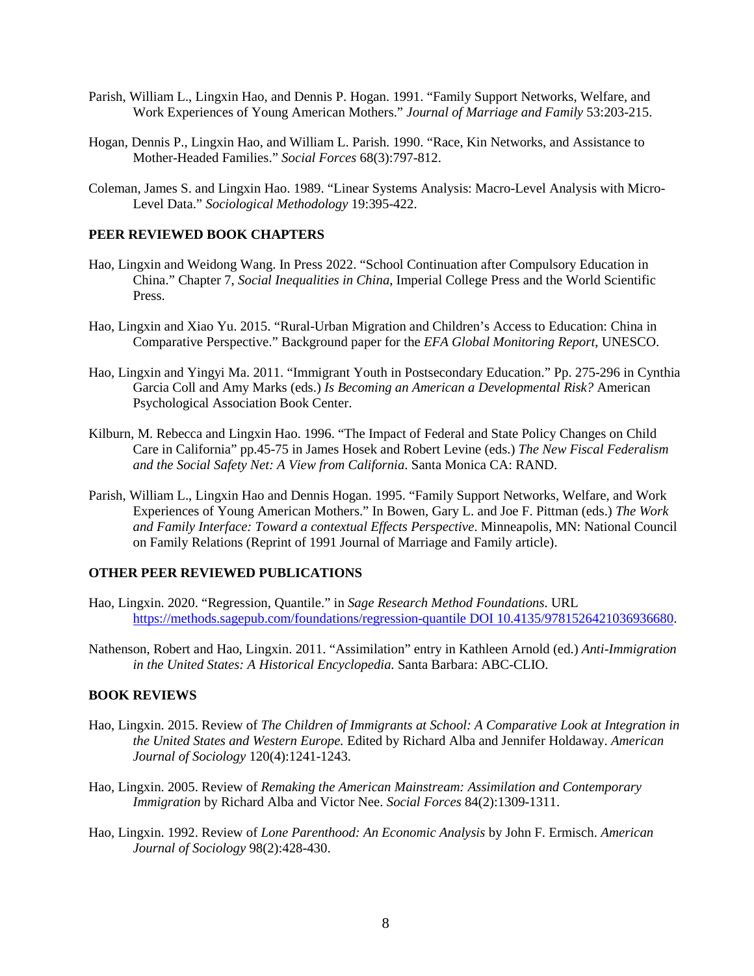- Parish, William L., Lingxin Hao, and Dennis P. Hogan. 1991. "Family Support Networks, Welfare, and Work Experiences of Young American Mothers." *Journal of Marriage and Family* 53:203-215.
- Hogan, Dennis P., Lingxin Hao, and William L. Parish. 1990. "Race, Kin Networks, and Assistance to Mother-Headed Families." *Social Forces* 68(3):797-812.
- Coleman, James S. and Lingxin Hao. 1989. "Linear Systems Analysis: Macro-Level Analysis with Micro-Level Data." *Sociological Methodology* 19:395-422.

#### **PEER REVIEWED BOOK CHAPTERS**

- Hao, Lingxin and Weidong Wang. In Press 2022. "School Continuation after Compulsory Education in China." Chapter 7, *Social Inequalities in China*, Imperial College Press and the World Scientific Press.
- Hao, Lingxin and Xiao Yu. 2015. "Rural-Urban Migration and Children's Access to Education: China in Comparative Perspective." Background paper for the *EFA Global Monitoring Report*, UNESCO.
- Hao, Lingxin and Yingyi Ma. 2011. "Immigrant Youth in Postsecondary Education." Pp. 275-296 in Cynthia Garcia Coll and Amy Marks (eds.) *Is Becoming an American a Developmental Risk?* American Psychological Association Book Center.
- Kilburn, M. Rebecca and Lingxin Hao. 1996. "The Impact of Federal and State Policy Changes on Child Care in California" pp.45-75 in James Hosek and Robert Levine (eds.) *The New Fiscal Federalism and the Social Safety Net: A View from California*. Santa Monica CA: RAND.
- Parish, William L., Lingxin Hao and Dennis Hogan. 1995. "Family Support Networks, Welfare, and Work Experiences of Young American Mothers." In Bowen, Gary L. and Joe F. Pittman (eds.) *The Work and Family Interface: Toward a contextual Effects Perspective*. Minneapolis, MN: National Council on Family Relations (Reprint of 1991 Journal of Marriage and Family article).

#### **OTHER PEER REVIEWED PUBLICATIONS**

- Hao, Lingxin. 2020. "Regression, Quantile." in *Sage Research Method Foundations*. URL [https://methods.sagepub.com/foundations/regression-quantile DOI 10.4135/9781526421036936680.](https://methods.sagepub.com/foundations/regression-quantile%20DOI%2010.4135/9781526421036936680)
- Nathenson, Robert and Hao, Lingxin. 2011. "Assimilation" entry in Kathleen Arnold (ed.) *Anti-Immigration in the United States: A Historical Encyclopedia.* Santa Barbara: ABC-CLIO.

## **BOOK REVIEWS**

- Hao, Lingxin. 2015. Review of *The Children of Immigrants at School: A Comparative Look at Integration in the United States and Western Europe.* Edited by Richard Alba and Jennifer Holdaway. *American Journal of Sociology* 120(4):1241-1243.
- Hao, Lingxin. 2005. Review of *Remaking the American Mainstream: Assimilation and Contemporary Immigration* by Richard Alba and Victor Nee. *Social Forces* 84(2):1309-1311.
- Hao, Lingxin. 1992. Review of *Lone Parenthood: An Economic Analysis* by John F. Ermisch. *American Journal of Sociology* 98(2):428-430.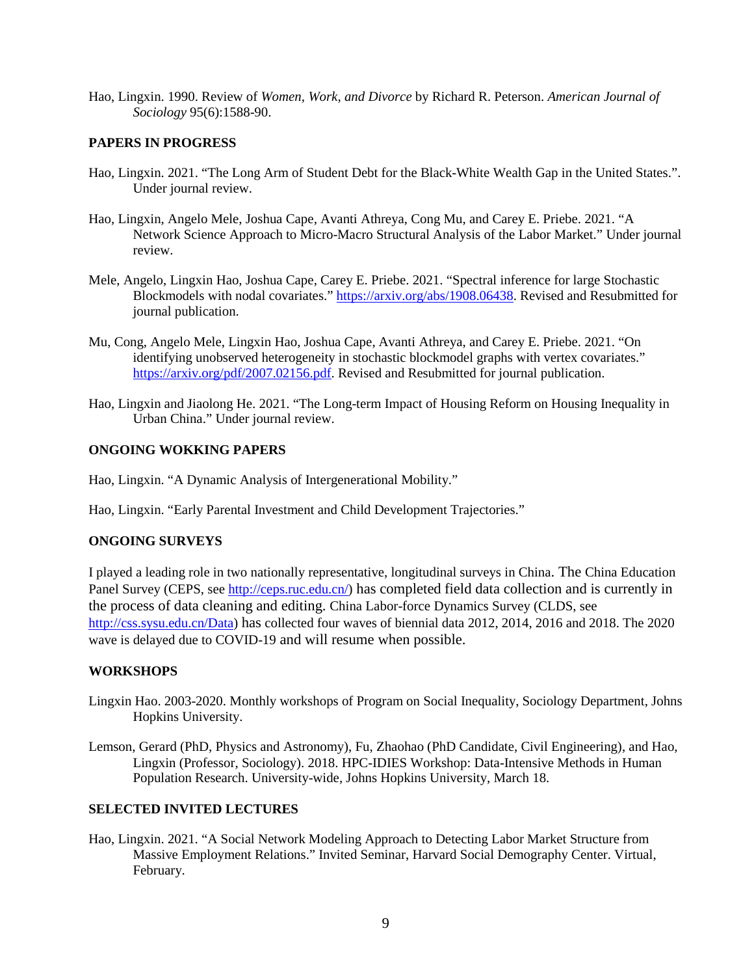Hao, Lingxin. 1990. Review of *Women, Work, and Divorce* by Richard R. Peterson. *American Journal of Sociology* 95(6):1588-90.

## **PAPERS IN PROGRESS**

- Hao, Lingxin. 2021. "The Long Arm of Student Debt for the Black-White Wealth Gap in the United States.". Under journal review.
- Hao, Lingxin, Angelo Mele, Joshua Cape, Avanti Athreya, Cong Mu, and Carey E. Priebe. 2021. "A Network Science Approach to Micro-Macro Structural Analysis of the Labor Market." Under journal review.
- Mele, Angelo, Lingxin Hao, Joshua Cape, Carey E. Priebe. 2021. "Spectral inference for large Stochastic Blockmodels with nodal covariates." [https://arxiv.org/abs/1908.06438.](https://arxiv.org/abs/1908.06438) Revised and Resubmitted for journal publication.
- Mu, Cong, Angelo Mele, Lingxin Hao, Joshua Cape, Avanti Athreya, and Carey E. Priebe. 2021. "On identifying unobserved heterogeneity in stochastic blockmodel graphs with vertex covariates." [https://arxiv.org/pdf/2007.02156.pdf.](https://arxiv.org/pdf/2007.02156.pdf) Revised and Resubmitted for journal publication.
- Hao, Lingxin and Jiaolong He. 2021. "The Long-term Impact of Housing Reform on Housing Inequality in Urban China." Under journal review.

#### **ONGOING WOKKING PAPERS**

Hao, Lingxin. "A Dynamic Analysis of Intergenerational Mobility."

Hao, Lingxin. "Early Parental Investment and Child Development Trajectories."

#### **ONGOING SURVEYS**

I played a leading role in two nationally representative, longitudinal surveys in China. The China Education Panel Survey (CEPS, see [http://ceps.ruc.edu.cn/\)](http://ceps.ruc.edu.cn/) has completed field data collection and is currently in the process of data cleaning and editing. China Labor-force Dynamics Survey (CLDS, see [http://css.sysu.edu.cn/Data\)](http://css.sysu.edu.cn/Data) has collected four waves of biennial data 2012, 2014, 2016 and 2018. The 2020 wave is delayed due to COVID-19 and will resume when possible.

## **WORKSHOPS**

- Lingxin Hao. 2003-2020. Monthly workshops of Program on Social Inequality, Sociology Department, Johns Hopkins University.
- Lemson, Gerard (PhD, Physics and Astronomy), Fu, Zhaohao (PhD Candidate, Civil Engineering), and Hao, Lingxin (Professor, Sociology). 2018. HPC-IDIES Workshop: Data-Intensive Methods in Human Population Research. University-wide, Johns Hopkins University, March 18.

## **SELECTED INVITED LECTURES**

Hao, Lingxin. 2021. "A Social Network Modeling Approach to Detecting Labor Market Structure from Massive Employment Relations." Invited Seminar, Harvard Social Demography Center. Virtual, February.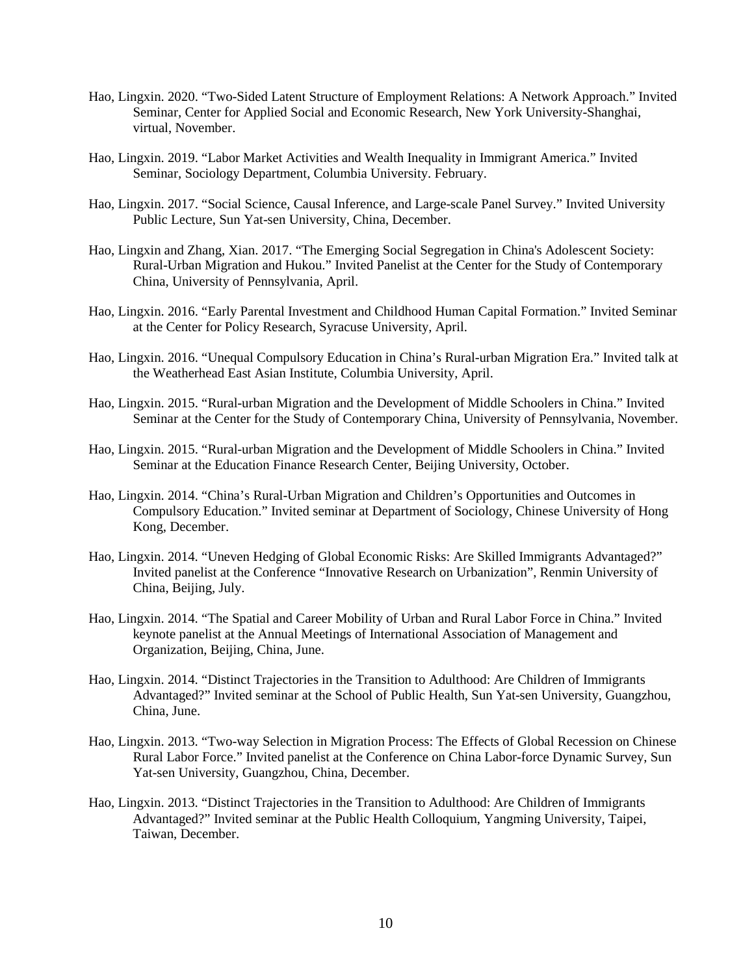- Hao, Lingxin. 2020. "Two-Sided Latent Structure of Employment Relations: A Network Approach." Invited Seminar, Center for Applied Social and Economic Research, New York University-Shanghai, virtual, November.
- Hao, Lingxin. 2019. "Labor Market Activities and Wealth Inequality in Immigrant America." Invited Seminar, Sociology Department, Columbia University. February.
- Hao, Lingxin. 2017. "Social Science, Causal Inference, and Large-scale Panel Survey." Invited University Public Lecture, Sun Yat-sen University, China, December.
- Hao, Lingxin and Zhang, Xian. 2017. "The Emerging Social Segregation in China's Adolescent Society: Rural-Urban Migration and Hukou." Invited Panelist at the Center for the Study of Contemporary China, University of Pennsylvania, April.
- Hao, Lingxin. 2016. "Early Parental Investment and Childhood Human Capital Formation." Invited Seminar at the Center for Policy Research, Syracuse University, April.
- Hao, Lingxin. 2016. "Unequal Compulsory Education in China's Rural-urban Migration Era." Invited talk at the Weatherhead East Asian Institute, Columbia University, April.
- Hao, Lingxin. 2015. "Rural-urban Migration and the Development of Middle Schoolers in China." Invited Seminar at the Center for the Study of Contemporary China, University of Pennsylvania, November.
- Hao, Lingxin. 2015. "Rural-urban Migration and the Development of Middle Schoolers in China." Invited Seminar at the Education Finance Research Center, Beijing University, October.
- Hao, Lingxin. 2014. "China's Rural-Urban Migration and Children's Opportunities and Outcomes in Compulsory Education." Invited seminar at Department of Sociology, Chinese University of Hong Kong, December.
- Hao, Lingxin. 2014. "Uneven Hedging of Global Economic Risks: Are Skilled Immigrants Advantaged?" Invited panelist at the Conference "Innovative Research on Urbanization", Renmin University of China, Beijing, July.
- Hao, Lingxin. 2014. "The Spatial and Career Mobility of Urban and Rural Labor Force in China." Invited keynote panelist at the Annual Meetings of International Association of Management and Organization, Beijing, China, June.
- Hao, Lingxin. 2014. "Distinct Trajectories in the Transition to Adulthood: Are Children of Immigrants Advantaged?" Invited seminar at the School of Public Health, Sun Yat-sen University, Guangzhou, China, June.
- Hao, Lingxin. 2013. "Two-way Selection in Migration Process: The Effects of Global Recession on Chinese Rural Labor Force." Invited panelist at the Conference on China Labor-force Dynamic Survey, Sun Yat-sen University, Guangzhou, China, December.
- Hao, Lingxin. 2013. "Distinct Trajectories in the Transition to Adulthood: Are Children of Immigrants Advantaged?" Invited seminar at the Public Health Colloquium, Yangming University, Taipei, Taiwan, December.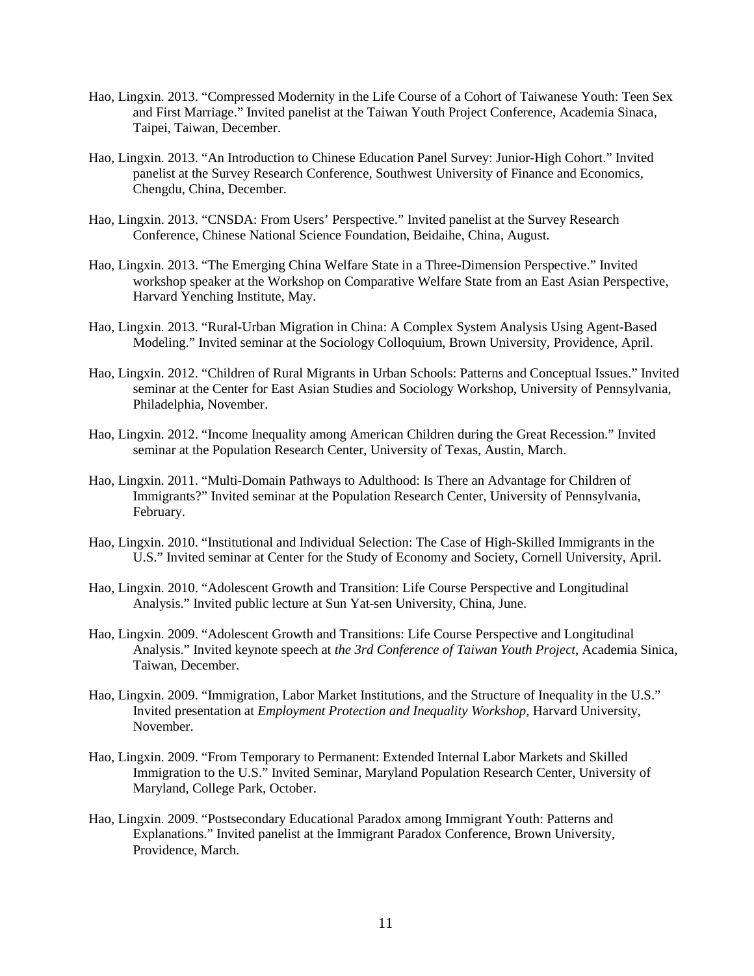- Hao, Lingxin. 2013. "Compressed Modernity in the Life Course of a Cohort of Taiwanese Youth: Teen Sex and First Marriage." Invited panelist at the Taiwan Youth Project Conference, Academia Sinaca, Taipei, Taiwan, December.
- Hao, Lingxin. 2013. "An Introduction to Chinese Education Panel Survey: Junior-High Cohort." Invited panelist at the Survey Research Conference, Southwest University of Finance and Economics, Chengdu, China, December.
- Hao, Lingxin. 2013. "CNSDA: From Users' Perspective." Invited panelist at the Survey Research Conference, Chinese National Science Foundation, Beidaihe, China, August.
- Hao, Lingxin. 2013. "The Emerging China Welfare State in a Three-Dimension Perspective." Invited workshop speaker at the Workshop on Comparative Welfare State from an East Asian Perspective, Harvard Yenching Institute, May.
- Hao, Lingxin. 2013. "Rural-Urban Migration in China: A Complex System Analysis Using Agent-Based Modeling." Invited seminar at the Sociology Colloquium, Brown University, Providence, April.
- Hao, Lingxin. 2012. "Children of Rural Migrants in Urban Schools: Patterns and Conceptual Issues." Invited seminar at the Center for East Asian Studies and Sociology Workshop, University of Pennsylvania, Philadelphia, November.
- Hao, Lingxin. 2012. "Income Inequality among American Children during the Great Recession." Invited seminar at the Population Research Center, University of Texas, Austin, March.
- Hao, Lingxin. 2011. "Multi-Domain Pathways to Adulthood: Is There an Advantage for Children of Immigrants?" Invited seminar at the Population Research Center, University of Pennsylvania, February.
- Hao, Lingxin. 2010. "Institutional and Individual Selection: The Case of High-Skilled Immigrants in the U.S." Invited seminar at Center for the Study of Economy and Society, Cornell University, April.
- Hao, Lingxin. 2010. "Adolescent Growth and Transition: Life Course Perspective and Longitudinal Analysis." Invited public lecture at Sun Yat-sen University, China, June.
- Hao, Lingxin. 2009. "Adolescent Growth and Transitions: Life Course Perspective and Longitudinal Analysis." Invited keynote speech at *the 3rd Conference of Taiwan Youth Project*, Academia Sinica, Taiwan, December.
- Hao, Lingxin. 2009. "Immigration, Labor Market Institutions, and the Structure of Inequality in the U.S." Invited presentation at *Employment Protection and Inequality Workshop*, Harvard University, November.
- Hao, Lingxin. 2009. "From Temporary to Permanent: Extended Internal Labor Markets and Skilled Immigration to the U.S." Invited Seminar, Maryland Population Research Center, University of Maryland, College Park, October.
- Hao, Lingxin. 2009. "Postsecondary Educational Paradox among Immigrant Youth: Patterns and Explanations." Invited panelist at the Immigrant Paradox Conference, Brown University, Providence, March.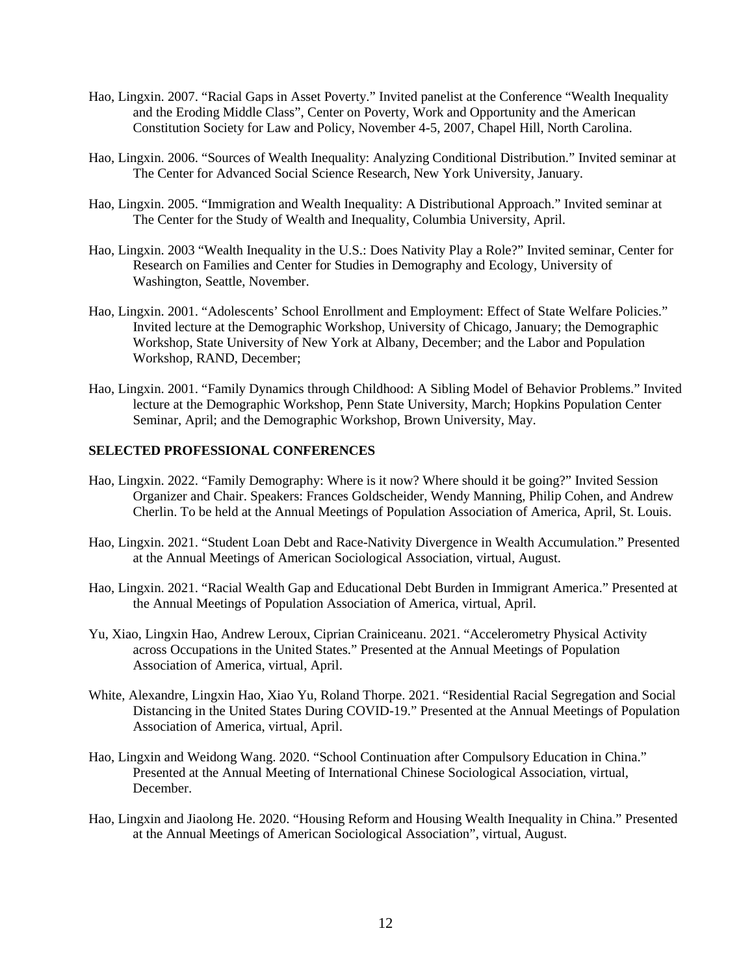- Hao, Lingxin. 2007. "Racial Gaps in Asset Poverty." Invited panelist at the Conference "Wealth Inequality and the Eroding Middle Class", Center on Poverty, Work and Opportunity and the American Constitution Society for Law and Policy, November 4-5, 2007, Chapel Hill, North Carolina.
- Hao, Lingxin. 2006. "Sources of Wealth Inequality: Analyzing Conditional Distribution." Invited seminar at The Center for Advanced Social Science Research, New York University, January.
- Hao, Lingxin. 2005. "Immigration and Wealth Inequality: A Distributional Approach." Invited seminar at The Center for the Study of Wealth and Inequality, Columbia University, April.
- Hao, Lingxin. 2003 "Wealth Inequality in the U.S.: Does Nativity Play a Role?" Invited seminar, Center for Research on Families and Center for Studies in Demography and Ecology, University of Washington, Seattle, November.
- Hao, Lingxin. 2001. "Adolescents' School Enrollment and Employment: Effect of State Welfare Policies." Invited lecture at the Demographic Workshop, University of Chicago, January; the Demographic Workshop, State University of New York at Albany, December; and the Labor and Population Workshop, RAND, December;
- Hao, Lingxin. 2001. "Family Dynamics through Childhood: A Sibling Model of Behavior Problems." Invited lecture at the Demographic Workshop, Penn State University, March; Hopkins Population Center Seminar, April; and the Demographic Workshop, Brown University, May.

#### **SELECTED PROFESSIONAL CONFERENCES**

- Hao, Lingxin. 2022. "Family Demography: Where is it now? Where should it be going?" Invited Session Organizer and Chair. Speakers: Frances Goldscheider, Wendy Manning, Philip Cohen, and Andrew Cherlin. To be held at the Annual Meetings of Population Association of America, April, St. Louis.
- Hao, Lingxin. 2021. "Student Loan Debt and Race-Nativity Divergence in Wealth Accumulation." Presented at the Annual Meetings of American Sociological Association, virtual, August.
- Hao, Lingxin. 2021. "Racial Wealth Gap and Educational Debt Burden in Immigrant America." Presented at the Annual Meetings of Population Association of America, virtual, April.
- Yu, Xiao, Lingxin Hao, Andrew Leroux, Ciprian Crainiceanu. 2021. "Accelerometry Physical Activity across Occupations in the United States." Presented at the Annual Meetings of Population Association of America, virtual, April.
- White, Alexandre, Lingxin Hao, Xiao Yu, Roland Thorpe. 2021. "Residential Racial Segregation and Social Distancing in the United States During COVID-19." Presented at the Annual Meetings of Population Association of America, virtual, April.
- Hao, Lingxin and Weidong Wang. 2020. "School Continuation after Compulsory Education in China." Presented at the Annual Meeting of International Chinese Sociological Association, virtual, December.
- Hao, Lingxin and Jiaolong He. 2020. "Housing Reform and Housing Wealth Inequality in China." Presented at the Annual Meetings of American Sociological Association", virtual, August.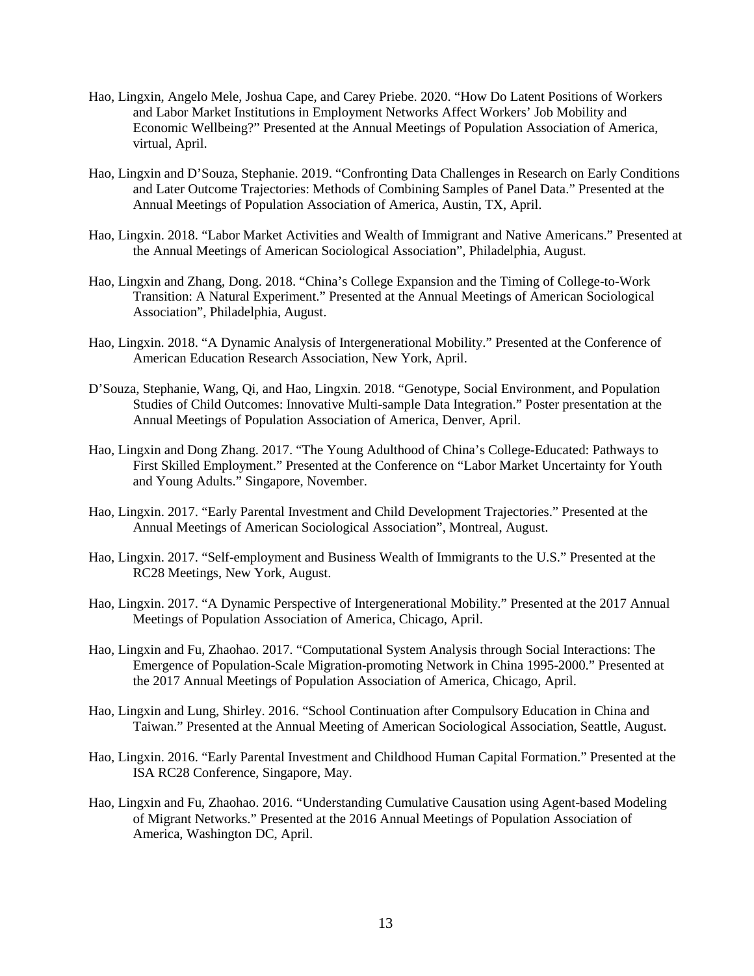- Hao, Lingxin, Angelo Mele, Joshua Cape, and Carey Priebe. 2020. "How Do Latent Positions of Workers and Labor Market Institutions in Employment Networks Affect Workers' Job Mobility and Economic Wellbeing?" Presented at the Annual Meetings of Population Association of America, virtual, April.
- Hao, Lingxin and D'Souza, Stephanie. 2019. "Confronting Data Challenges in Research on Early Conditions and Later Outcome Trajectories: Methods of Combining Samples of Panel Data." Presented at the Annual Meetings of Population Association of America, Austin, TX, April.
- Hao, Lingxin. 2018. "Labor Market Activities and Wealth of Immigrant and Native Americans." Presented at the Annual Meetings of American Sociological Association", Philadelphia, August.
- Hao, Lingxin and Zhang, Dong. 2018. "China's College Expansion and the Timing of College-to-Work Transition: A Natural Experiment." Presented at the Annual Meetings of American Sociological Association", Philadelphia, August.
- Hao, Lingxin. 2018. "A Dynamic Analysis of Intergenerational Mobility." Presented at the Conference of American Education Research Association, New York, April.
- D'Souza, Stephanie, Wang, Qi, and Hao, Lingxin. 2018. "Genotype, Social Environment, and Population Studies of Child Outcomes: Innovative Multi-sample Data Integration." Poster presentation at the Annual Meetings of Population Association of America, Denver, April.
- Hao, Lingxin and Dong Zhang. 2017. "The Young Adulthood of China's College-Educated: Pathways to First Skilled Employment." Presented at the Conference on "Labor Market Uncertainty for Youth and Young Adults." Singapore, November.
- Hao, Lingxin. 2017. "Early Parental Investment and Child Development Trajectories." Presented at the Annual Meetings of American Sociological Association", Montreal, August.
- Hao, Lingxin. 2017. "Self-employment and Business Wealth of Immigrants to the U.S." Presented at the RC28 Meetings, New York, August.
- Hao, Lingxin. 2017. "A Dynamic Perspective of Intergenerational Mobility." Presented at the 2017 Annual Meetings of Population Association of America, Chicago, April.
- Hao, Lingxin and Fu, Zhaohao. 2017. "Computational System Analysis through Social Interactions: The Emergence of Population-Scale Migration-promoting Network in China 1995-2000." Presented at the 2017 Annual Meetings of Population Association of America, Chicago, April.
- Hao, Lingxin and Lung, Shirley. 2016. "School Continuation after Compulsory Education in China and Taiwan." Presented at the Annual Meeting of American Sociological Association, Seattle, August.
- Hao, Lingxin. 2016. "Early Parental Investment and Childhood Human Capital Formation." Presented at the ISA RC28 Conference, Singapore, May.
- Hao, Lingxin and Fu, Zhaohao. 2016. "Understanding Cumulative Causation using Agent-based Modeling of Migrant Networks." Presented at the 2016 Annual Meetings of Population Association of America, Washington DC, April.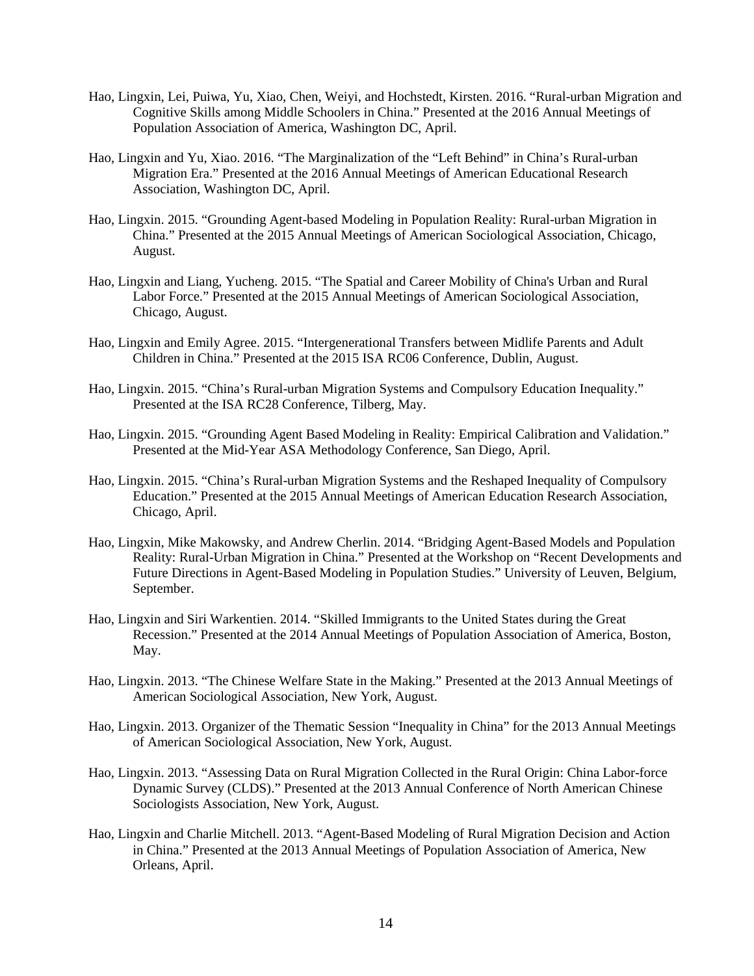- Hao, Lingxin, Lei, Puiwa, Yu, Xiao, Chen, Weiyi, and Hochstedt, Kirsten. 2016. "Rural-urban Migration and Cognitive Skills among Middle Schoolers in China." Presented at the 2016 Annual Meetings of Population Association of America, Washington DC, April.
- Hao, Lingxin and Yu, Xiao. 2016. "The Marginalization of the "Left Behind" in China's Rural-urban Migration Era." Presented at the 2016 Annual Meetings of American Educational Research Association, Washington DC, April.
- Hao, Lingxin. 2015. "Grounding Agent-based Modeling in Population Reality: Rural-urban Migration in China." Presented at the 2015 Annual Meetings of American Sociological Association, Chicago, August.
- Hao, Lingxin and Liang, Yucheng. 2015. "The Spatial and Career Mobility of China's Urban and Rural Labor Force." Presented at the 2015 Annual Meetings of American Sociological Association, Chicago, August.
- Hao, Lingxin and Emily Agree. 2015. "Intergenerational Transfers between Midlife Parents and Adult Children in China." Presented at the 2015 ISA RC06 Conference, Dublin, August.
- Hao, Lingxin. 2015. "China's Rural-urban Migration Systems and Compulsory Education Inequality." Presented at the ISA RC28 Conference, Tilberg, May.
- Hao, Lingxin. 2015. "Grounding Agent Based Modeling in Reality: Empirical Calibration and Validation." Presented at the Mid-Year ASA Methodology Conference, San Diego, April.
- Hao, Lingxin. 2015. "China's Rural-urban Migration Systems and the Reshaped Inequality of Compulsory Education." Presented at the 2015 Annual Meetings of American Education Research Association, Chicago, April.
- Hao, Lingxin, Mike Makowsky, and Andrew Cherlin. 2014. "Bridging Agent-Based Models and Population Reality: Rural-Urban Migration in China." Presented at the Workshop on "Recent Developments and Future Directions in Agent-Based Modeling in Population Studies." University of Leuven, Belgium, September.
- Hao, Lingxin and Siri Warkentien. 2014. "Skilled Immigrants to the United States during the Great Recession." Presented at the 2014 Annual Meetings of Population Association of America, Boston, May.
- Hao, Lingxin. 2013. "The Chinese Welfare State in the Making." Presented at the 2013 Annual Meetings of American Sociological Association, New York, August.
- Hao, Lingxin. 2013. Organizer of the Thematic Session "Inequality in China" for the 2013 Annual Meetings of American Sociological Association, New York, August.
- Hao, Lingxin. 2013. "Assessing Data on Rural Migration Collected in the Rural Origin: China Labor-force Dynamic Survey (CLDS)." Presented at the 2013 Annual Conference of North American Chinese Sociologists Association, New York, August.
- Hao, Lingxin and Charlie Mitchell. 2013. "Agent-Based Modeling of Rural Migration Decision and Action in China." Presented at the 2013 Annual Meetings of Population Association of America, New Orleans, April.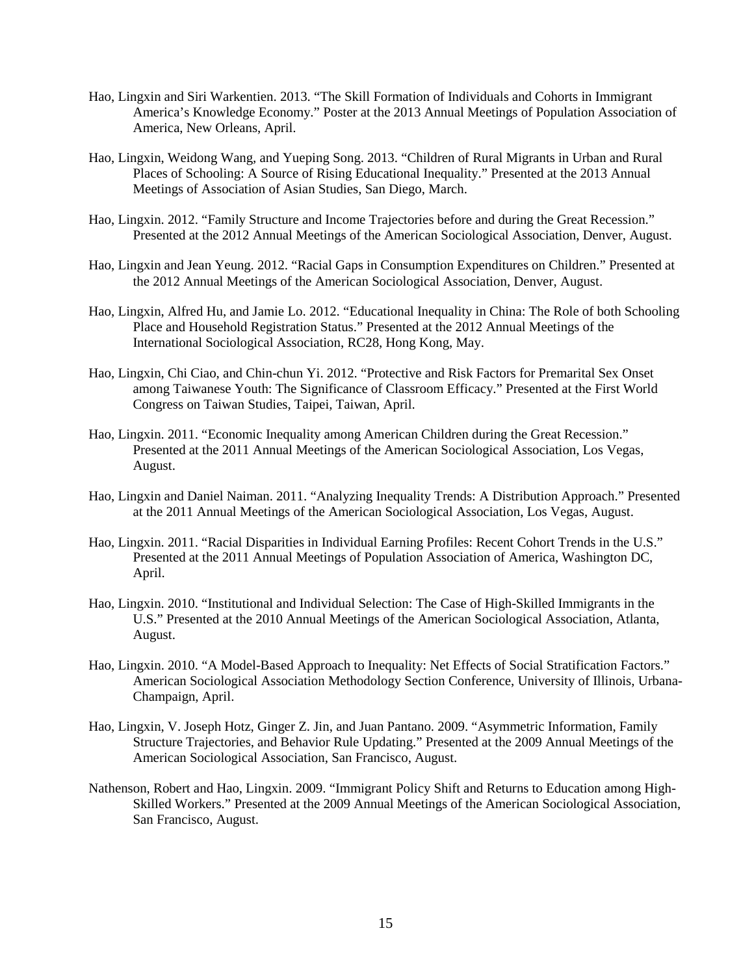- Hao, Lingxin and Siri Warkentien. 2013. "The Skill Formation of Individuals and Cohorts in Immigrant America's Knowledge Economy." Poster at the 2013 Annual Meetings of Population Association of America, New Orleans, April.
- Hao, Lingxin, Weidong Wang, and Yueping Song. 2013. "Children of Rural Migrants in Urban and Rural Places of Schooling: A Source of Rising Educational Inequality." Presented at the 2013 Annual Meetings of Association of Asian Studies, San Diego, March.
- Hao, Lingxin. 2012. "Family Structure and Income Trajectories before and during the Great Recession." Presented at the 2012 Annual Meetings of the American Sociological Association, Denver, August.
- Hao, Lingxin and Jean Yeung. 2012. "Racial Gaps in Consumption Expenditures on Children." Presented at the 2012 Annual Meetings of the American Sociological Association, Denver, August.
- Hao, Lingxin, Alfred Hu, and Jamie Lo. 2012. "Educational Inequality in China: The Role of both Schooling Place and Household Registration Status." Presented at the 2012 Annual Meetings of the International Sociological Association, RC28, Hong Kong, May.
- Hao, Lingxin, Chi Ciao, and Chin-chun Yi. 2012. "Protective and Risk Factors for Premarital Sex Onset among Taiwanese Youth: The Significance of Classroom Efficacy." Presented at the First World Congress on Taiwan Studies, Taipei, Taiwan, April.
- Hao, Lingxin. 2011. "Economic Inequality among American Children during the Great Recession." Presented at the 2011 Annual Meetings of the American Sociological Association, Los Vegas, August.
- Hao, Lingxin and Daniel Naiman. 2011. "Analyzing Inequality Trends: A Distribution Approach." Presented at the 2011 Annual Meetings of the American Sociological Association, Los Vegas, August.
- Hao, Lingxin. 2011. "Racial Disparities in Individual Earning Profiles: Recent Cohort Trends in the U.S." Presented at the 2011 Annual Meetings of Population Association of America, Washington DC, April.
- Hao, Lingxin. 2010. "Institutional and Individual Selection: The Case of High-Skilled Immigrants in the U.S." Presented at the 2010 Annual Meetings of the American Sociological Association, Atlanta, August.
- Hao, Lingxin. 2010. "A Model-Based Approach to Inequality: Net Effects of Social Stratification Factors." American Sociological Association Methodology Section Conference, University of Illinois, Urbana-Champaign, April.
- Hao, Lingxin, V. Joseph Hotz, Ginger Z. Jin, and Juan Pantano. 2009. "Asymmetric Information, Family Structure Trajectories, and Behavior Rule Updating." Presented at the 2009 Annual Meetings of the American Sociological Association, San Francisco, August.
- Nathenson, Robert and Hao, Lingxin. 2009. "Immigrant Policy Shift and Returns to Education among High-Skilled Workers." Presented at the 2009 Annual Meetings of the American Sociological Association, San Francisco, August.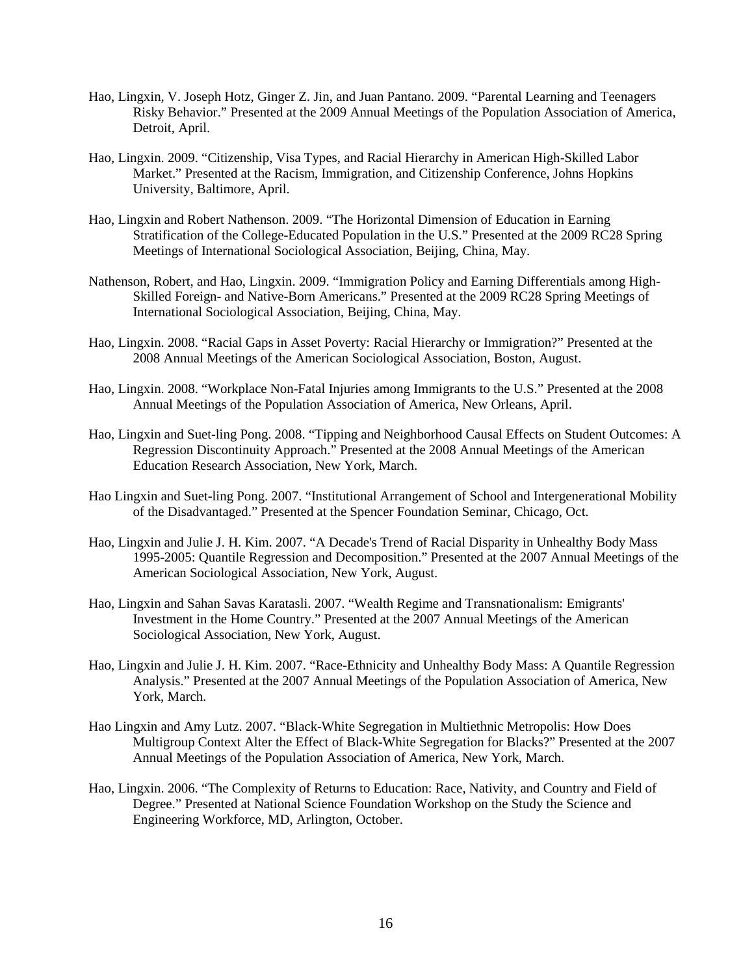- Hao, Lingxin, V. Joseph Hotz, Ginger Z. Jin, and Juan Pantano. 2009. "Parental Learning and Teenagers Risky Behavior." Presented at the 2009 Annual Meetings of the Population Association of America, Detroit, April.
- Hao, Lingxin. 2009. "Citizenship, Visa Types, and Racial Hierarchy in American High-Skilled Labor Market." Presented at the Racism, Immigration, and Citizenship Conference, Johns Hopkins University, Baltimore, April.
- Hao, Lingxin and Robert Nathenson. 2009. "The Horizontal Dimension of Education in Earning Stratification of the College-Educated Population in the U.S." Presented at the 2009 RC28 Spring Meetings of International Sociological Association, Beijing, China, May.
- Nathenson, Robert, and Hao, Lingxin. 2009. "Immigration Policy and Earning Differentials among High-Skilled Foreign- and Native-Born Americans." Presented at the 2009 RC28 Spring Meetings of International Sociological Association, Beijing, China, May.
- Hao, Lingxin. 2008. "Racial Gaps in Asset Poverty: Racial Hierarchy or Immigration?" Presented at the 2008 Annual Meetings of the American Sociological Association, Boston, August.
- Hao, Lingxin. 2008. "Workplace Non-Fatal Injuries among Immigrants to the U.S." Presented at the 2008 Annual Meetings of the Population Association of America, New Orleans, April.
- Hao, Lingxin and Suet-ling Pong. 2008. "Tipping and Neighborhood Causal Effects on Student Outcomes: A Regression Discontinuity Approach." Presented at the 2008 Annual Meetings of the American Education Research Association, New York, March.
- Hao Lingxin and Suet-ling Pong. 2007. "Institutional Arrangement of School and Intergenerational Mobility of the Disadvantaged." Presented at the Spencer Foundation Seminar, Chicago, Oct.
- Hao, Lingxin and Julie J. H. Kim. 2007. "A Decade's Trend of Racial Disparity in Unhealthy Body Mass 1995-2005: Quantile Regression and Decomposition." Presented at the 2007 Annual Meetings of the American Sociological Association, New York, August.
- Hao, Lingxin and Sahan Savas Karatasli. 2007. "Wealth Regime and Transnationalism: Emigrants' Investment in the Home Country." Presented at the 2007 Annual Meetings of the American Sociological Association, New York, August.
- Hao, Lingxin and Julie J. H. Kim. 2007. "Race-Ethnicity and Unhealthy Body Mass: A Quantile Regression Analysis." Presented at the 2007 Annual Meetings of the Population Association of America, New York, March.
- Hao Lingxin and Amy Lutz. 2007. "Black-White Segregation in Multiethnic Metropolis: How Does Multigroup Context Alter the Effect of Black-White Segregation for Blacks?" Presented at the 2007 Annual Meetings of the Population Association of America, New York, March.
- Hao, Lingxin. 2006. "The Complexity of Returns to Education: Race, Nativity, and Country and Field of Degree." Presented at National Science Foundation Workshop on the Study the Science and Engineering Workforce, MD, Arlington, October.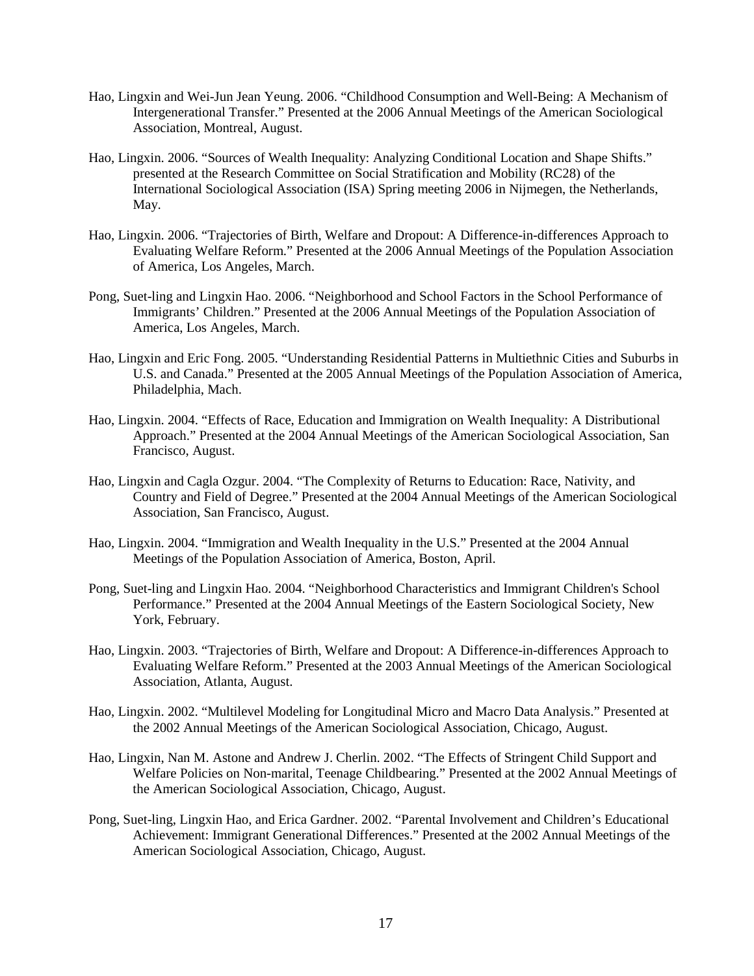- Hao, Lingxin and Wei-Jun Jean Yeung. 2006. "Childhood Consumption and Well-Being: A Mechanism of Intergenerational Transfer." Presented at the 2006 Annual Meetings of the American Sociological Association, Montreal, August.
- Hao, Lingxin. 2006. "Sources of Wealth Inequality: Analyzing Conditional Location and Shape Shifts." presented at the Research Committee on Social Stratification and Mobility (RC28) of the International Sociological Association (ISA) Spring meeting 2006 in Nijmegen, the Netherlands, May.
- Hao, Lingxin. 2006. "Trajectories of Birth, Welfare and Dropout: A Difference-in-differences Approach to Evaluating Welfare Reform." Presented at the 2006 Annual Meetings of the Population Association of America, Los Angeles, March.
- Pong, Suet-ling and Lingxin Hao. 2006. "Neighborhood and School Factors in the School Performance of Immigrants' Children." Presented at the 2006 Annual Meetings of the Population Association of America, Los Angeles, March.
- Hao, Lingxin and Eric Fong. 2005. "Understanding Residential Patterns in Multiethnic Cities and Suburbs in U.S. and Canada." Presented at the 2005 Annual Meetings of the Population Association of America, Philadelphia, Mach.
- Hao, Lingxin. 2004. "Effects of Race, Education and Immigration on Wealth Inequality: A Distributional Approach." Presented at the 2004 Annual Meetings of the American Sociological Association, San Francisco, August.
- Hao, Lingxin and Cagla Ozgur. 2004. "The Complexity of Returns to Education: Race, Nativity, and Country and Field of Degree." Presented at the 2004 Annual Meetings of the American Sociological Association, San Francisco, August.
- Hao, Lingxin. 2004. "Immigration and Wealth Inequality in the U.S." Presented at the 2004 Annual Meetings of the Population Association of America, Boston, April.
- Pong, Suet-ling and Lingxin Hao. 2004. "Neighborhood Characteristics and Immigrant Children's School Performance." Presented at the 2004 Annual Meetings of the Eastern Sociological Society, New York, February.
- Hao, Lingxin. 2003. "Trajectories of Birth, Welfare and Dropout: A Difference-in-differences Approach to Evaluating Welfare Reform." Presented at the 2003 Annual Meetings of the American Sociological Association, Atlanta, August.
- Hao, Lingxin. 2002. "Multilevel Modeling for Longitudinal Micro and Macro Data Analysis." Presented at the 2002 Annual Meetings of the American Sociological Association, Chicago, August.
- Hao, Lingxin, Nan M. Astone and Andrew J. Cherlin. 2002. "The Effects of Stringent Child Support and Welfare Policies on Non-marital, Teenage Childbearing." Presented at the 2002 Annual Meetings of the American Sociological Association, Chicago, August.
- Pong, Suet-ling, Lingxin Hao, and Erica Gardner. 2002. "Parental Involvement and Children's Educational Achievement: Immigrant Generational Differences." Presented at the 2002 Annual Meetings of the American Sociological Association, Chicago, August.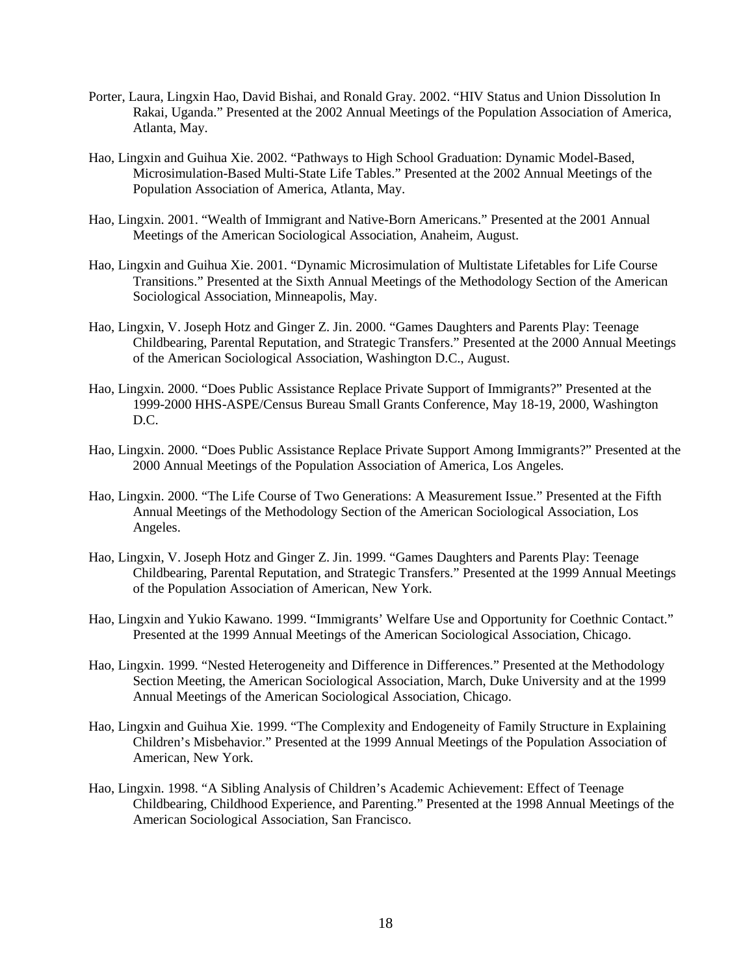- Porter, Laura, Lingxin Hao, David Bishai, and Ronald Gray. 2002. "HIV Status and Union Dissolution In Rakai, Uganda." Presented at the 2002 Annual Meetings of the Population Association of America, Atlanta, May.
- Hao, Lingxin and Guihua Xie. 2002. "Pathways to High School Graduation: Dynamic Model-Based, Microsimulation-Based Multi-State Life Tables." Presented at the 2002 Annual Meetings of the Population Association of America, Atlanta, May.
- Hao, Lingxin. 2001. "Wealth of Immigrant and Native-Born Americans." Presented at the 2001 Annual Meetings of the American Sociological Association, Anaheim, August.
- Hao, Lingxin and Guihua Xie. 2001. "Dynamic Microsimulation of Multistate Lifetables for Life Course Transitions." Presented at the Sixth Annual Meetings of the Methodology Section of the American Sociological Association, Minneapolis, May.
- Hao, Lingxin, V. Joseph Hotz and Ginger Z. Jin. 2000. "Games Daughters and Parents Play: Teenage Childbearing, Parental Reputation, and Strategic Transfers." Presented at the 2000 Annual Meetings of the American Sociological Association, Washington D.C., August.
- Hao, Lingxin. 2000. "Does Public Assistance Replace Private Support of Immigrants?" Presented at the 1999-2000 HHS-ASPE/Census Bureau Small Grants Conference, May 18-19, 2000, Washington D.C.
- Hao, Lingxin. 2000. "Does Public Assistance Replace Private Support Among Immigrants?" Presented at the 2000 Annual Meetings of the Population Association of America, Los Angeles.
- Hao, Lingxin. 2000. "The Life Course of Two Generations: A Measurement Issue." Presented at the Fifth Annual Meetings of the Methodology Section of the American Sociological Association, Los Angeles.
- Hao, Lingxin, V. Joseph Hotz and Ginger Z. Jin. 1999. "Games Daughters and Parents Play: Teenage Childbearing, Parental Reputation, and Strategic Transfers." Presented at the 1999 Annual Meetings of the Population Association of American, New York.
- Hao, Lingxin and Yukio Kawano. 1999. "Immigrants' Welfare Use and Opportunity for Coethnic Contact." Presented at the 1999 Annual Meetings of the American Sociological Association, Chicago.
- Hao, Lingxin. 1999. "Nested Heterogeneity and Difference in Differences." Presented at the Methodology Section Meeting, the American Sociological Association, March, Duke University and at the 1999 Annual Meetings of the American Sociological Association, Chicago.
- Hao, Lingxin and Guihua Xie. 1999. "The Complexity and Endogeneity of Family Structure in Explaining Children's Misbehavior." Presented at the 1999 Annual Meetings of the Population Association of American, New York.
- Hao, Lingxin. 1998. "A Sibling Analysis of Children's Academic Achievement: Effect of Teenage Childbearing, Childhood Experience, and Parenting." Presented at the 1998 Annual Meetings of the American Sociological Association, San Francisco.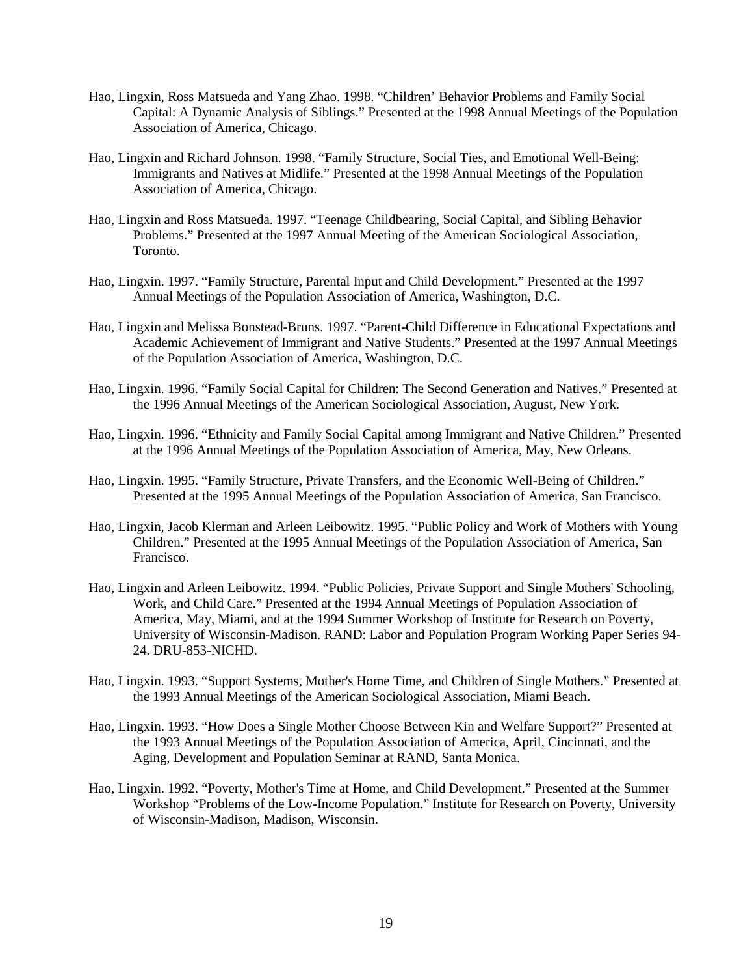- Hao, Lingxin, Ross Matsueda and Yang Zhao. 1998. "Children' Behavior Problems and Family Social Capital: A Dynamic Analysis of Siblings." Presented at the 1998 Annual Meetings of the Population Association of America, Chicago.
- Hao, Lingxin and Richard Johnson. 1998. "Family Structure, Social Ties, and Emotional Well-Being: Immigrants and Natives at Midlife." Presented at the 1998 Annual Meetings of the Population Association of America, Chicago.
- Hao, Lingxin and Ross Matsueda. 1997. "Teenage Childbearing, Social Capital, and Sibling Behavior Problems." Presented at the 1997 Annual Meeting of the American Sociological Association, Toronto.
- Hao, Lingxin. 1997. "Family Structure, Parental Input and Child Development." Presented at the 1997 Annual Meetings of the Population Association of America, Washington, D.C.
- Hao, Lingxin and Melissa Bonstead-Bruns. 1997. "Parent-Child Difference in Educational Expectations and Academic Achievement of Immigrant and Native Students." Presented at the 1997 Annual Meetings of the Population Association of America, Washington, D.C.
- Hao, Lingxin. 1996. "Family Social Capital for Children: The Second Generation and Natives." Presented at the 1996 Annual Meetings of the American Sociological Association, August, New York.
- Hao, Lingxin. 1996. "Ethnicity and Family Social Capital among Immigrant and Native Children." Presented at the 1996 Annual Meetings of the Population Association of America, May, New Orleans.
- Hao, Lingxin. 1995. "Family Structure, Private Transfers, and the Economic Well-Being of Children." Presented at the 1995 Annual Meetings of the Population Association of America, San Francisco.
- Hao, Lingxin, Jacob Klerman and Arleen Leibowitz. 1995. "Public Policy and Work of Mothers with Young Children." Presented at the 1995 Annual Meetings of the Population Association of America, San Francisco.
- Hao, Lingxin and Arleen Leibowitz. 1994. "Public Policies, Private Support and Single Mothers' Schooling, Work, and Child Care." Presented at the 1994 Annual Meetings of Population Association of America, May, Miami, and at the 1994 Summer Workshop of Institute for Research on Poverty, University of Wisconsin-Madison. RAND: Labor and Population Program Working Paper Series 94- 24. DRU-853-NICHD.
- Hao, Lingxin. 1993. "Support Systems, Mother's Home Time, and Children of Single Mothers." Presented at the 1993 Annual Meetings of the American Sociological Association, Miami Beach.
- Hao, Lingxin. 1993. "How Does a Single Mother Choose Between Kin and Welfare Support?" Presented at the 1993 Annual Meetings of the Population Association of America, April, Cincinnati, and the Aging, Development and Population Seminar at RAND, Santa Monica.
- Hao, Lingxin. 1992. "Poverty, Mother's Time at Home, and Child Development." Presented at the Summer Workshop "Problems of the Low-Income Population." Institute for Research on Poverty, University of Wisconsin-Madison, Madison, Wisconsin.